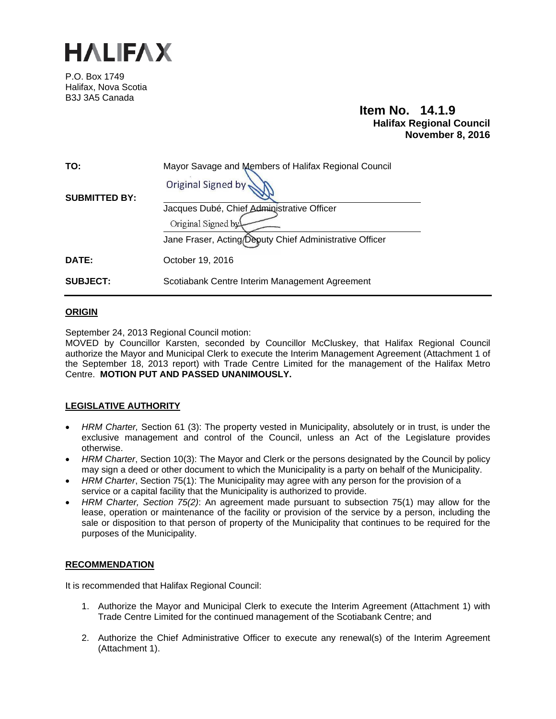

P.O. Box 1749 Halifax, Nova Scotia B3J 3A5 Canada

## **Item No. 14.1.9 Halifax Regional Council November 8, 2016**

| TO:                  | Mayor Savage and Members of Halifax Regional Council    |
|----------------------|---------------------------------------------------------|
| <b>SUBMITTED BY:</b> | Original Signed by                                      |
|                      | Jacques Dubé, Chief Administrative Officer              |
|                      | Original Signed by                                      |
|                      | Jane Fraser, Acting Deputy Chief Administrative Officer |
| <b>DATE:</b>         | October 19, 2016                                        |
| <b>SUBJECT:</b>      | Scotiabank Centre Interim Management Agreement          |

#### **ORIGIN**

September 24, 2013 Regional Council motion:

MOVED by Councillor Karsten, seconded by Councillor McCluskey, that Halifax Regional Council authorize the Mayor and Municipal Clerk to execute the Interim Management Agreement (Attachment 1 of the September 18, 2013 report) with Trade Centre Limited for the management of the Halifax Metro Centre. **MOTION PUT AND PASSED UNANIMOUSLY.** 

#### **LEGISLATIVE AUTHORITY**

- *HRM Charter,* Section 61 (3): The property vested in Municipality, absolutely or in trust, is under the exclusive management and control of the Council, unless an Act of the Legislature provides otherwise.
- *HRM Charter*, Section 10(3): The Mayor and Clerk or the persons designated by the Council by policy may sign a deed or other document to which the Municipality is a party on behalf of the Municipality.
- *HRM Charter*, Section 75(1): The Municipality may agree with any person for the provision of a service or a capital facility that the Municipality is authorized to provide.
- *HRM Charter, Section 75(2)*: An agreement made pursuant to subsection 75(1) may allow for the lease, operation or maintenance of the facility or provision of the service by a person, including the sale or disposition to that person of property of the Municipality that continues to be required for the purposes of the Municipality.

#### **RECOMMENDATION**

It is recommended that Halifax Regional Council:

- 1. Authorize the Mayor and Municipal Clerk to execute the Interim Agreement (Attachment 1) with Trade Centre Limited for the continued management of the Scotiabank Centre; and
- 2. Authorize the Chief Administrative Officer to execute any renewal(s) of the Interim Agreement (Attachment 1).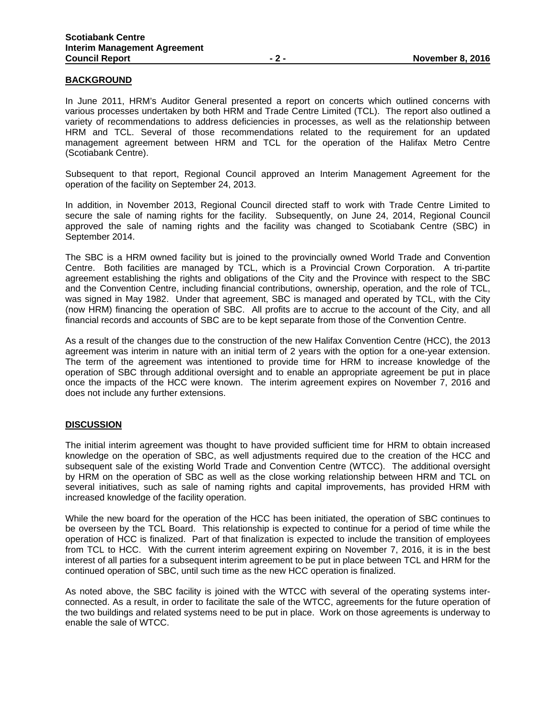#### **BACKGROUND**

In June 2011, HRM's Auditor General presented a report on concerts which outlined concerns with various processes undertaken by both HRM and Trade Centre Limited (TCL). The report also outlined a variety of recommendations to address deficiencies in processes, as well as the relationship between HRM and TCL. Several of those recommendations related to the requirement for an updated management agreement between HRM and TCL for the operation of the Halifax Metro Centre (Scotiabank Centre).

Subsequent to that report, Regional Council approved an Interim Management Agreement for the operation of the facility on September 24, 2013.

In addition, in November 2013, Regional Council directed staff to work with Trade Centre Limited to secure the sale of naming rights for the facility. Subsequently, on June 24, 2014, Regional Council approved the sale of naming rights and the facility was changed to Scotiabank Centre (SBC) in September 2014.

The SBC is a HRM owned facility but is joined to the provincially owned World Trade and Convention Centre. Both facilities are managed by TCL, which is a Provincial Crown Corporation. A tri-partite agreement establishing the rights and obligations of the City and the Province with respect to the SBC and the Convention Centre, including financial contributions, ownership, operation, and the role of TCL, was signed in May 1982. Under that agreement, SBC is managed and operated by TCL, with the City (now HRM) financing the operation of SBC. All profits are to accrue to the account of the City, and all financial records and accounts of SBC are to be kept separate from those of the Convention Centre.

As a result of the changes due to the construction of the new Halifax Convention Centre (HCC), the 2013 agreement was interim in nature with an initial term of 2 years with the option for a one-year extension. The term of the agreement was intentioned to provide time for HRM to increase knowledge of the operation of SBC through additional oversight and to enable an appropriate agreement be put in place once the impacts of the HCC were known. The interim agreement expires on November 7, 2016 and does not include any further extensions.

#### **DISCUSSION**

The initial interim agreement was thought to have provided sufficient time for HRM to obtain increased knowledge on the operation of SBC, as well adjustments required due to the creation of the HCC and subsequent sale of the existing World Trade and Convention Centre (WTCC). The additional oversight by HRM on the operation of SBC as well as the close working relationship between HRM and TCL on several initiatives, such as sale of naming rights and capital improvements, has provided HRM with increased knowledge of the facility operation.

While the new board for the operation of the HCC has been initiated, the operation of SBC continues to be overseen by the TCL Board. This relationship is expected to continue for a period of time while the operation of HCC is finalized. Part of that finalization is expected to include the transition of employees from TCL to HCC. With the current interim agreement expiring on November 7, 2016, it is in the best interest of all parties for a subsequent interim agreement to be put in place between TCL and HRM for the continued operation of SBC, until such time as the new HCC operation is finalized.

As noted above, the SBC facility is joined with the WTCC with several of the operating systems interconnected. As a result, in order to facilitate the sale of the WTCC, agreements for the future operation of the two buildings and related systems need to be put in place. Work on those agreements is underway to enable the sale of WTCC.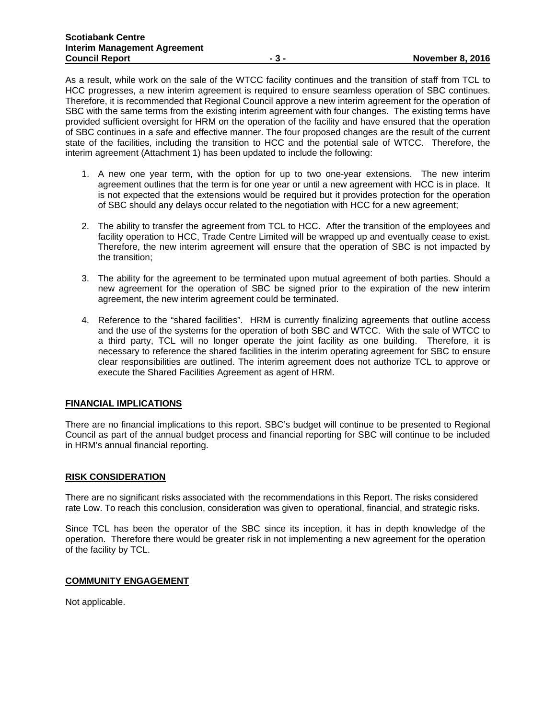As a result, while work on the sale of the WTCC facility continues and the transition of staff from TCL to HCC progresses, a new interim agreement is required to ensure seamless operation of SBC continues. Therefore, it is recommended that Regional Council approve a new interim agreement for the operation of SBC with the same terms from the existing interim agreement with four changes. The existing terms have provided sufficient oversight for HRM on the operation of the facility and have ensured that the operation of SBC continues in a safe and effective manner. The four proposed changes are the result of the current state of the facilities, including the transition to HCC and the potential sale of WTCC. Therefore, the interim agreement (Attachment 1) has been updated to include the following:

- 1. A new one year term, with the option for up to two one-year extensions. The new interim agreement outlines that the term is for one year or until a new agreement with HCC is in place. It is not expected that the extensions would be required but it provides protection for the operation of SBC should any delays occur related to the negotiation with HCC for a new agreement;
- 2. The ability to transfer the agreement from TCL to HCC. After the transition of the employees and facility operation to HCC, Trade Centre Limited will be wrapped up and eventually cease to exist. Therefore, the new interim agreement will ensure that the operation of SBC is not impacted by the transition;
- 3. The ability for the agreement to be terminated upon mutual agreement of both parties. Should a new agreement for the operation of SBC be signed prior to the expiration of the new interim agreement, the new interim agreement could be terminated.
- 4. Reference to the "shared facilities". HRM is currently finalizing agreements that outline access and the use of the systems for the operation of both SBC and WTCC. With the sale of WTCC to a third party, TCL will no longer operate the joint facility as one building. Therefore, it is necessary to reference the shared facilities in the interim operating agreement for SBC to ensure clear responsibilities are outlined. The interim agreement does not authorize TCL to approve or execute the Shared Facilities Agreement as agent of HRM.

#### **FINANCIAL IMPLICATIONS**

There are no financial implications to this report. SBC's budget will continue to be presented to Regional Council as part of the annual budget process and financial reporting for SBC will continue to be included in HRM's annual financial reporting.

#### **RISK CONSIDERATION**

There are no significant risks associated with the recommendations in this Report. The risks considered rate Low. To reach this conclusion, consideration was given to operational, financial, and strategic risks.

Since TCL has been the operator of the SBC since its inception, it has in depth knowledge of the operation. Therefore there would be greater risk in not implementing a new agreement for the operation of the facility by TCL.

#### **COMMUNITY ENGAGEMENT**

Not applicable.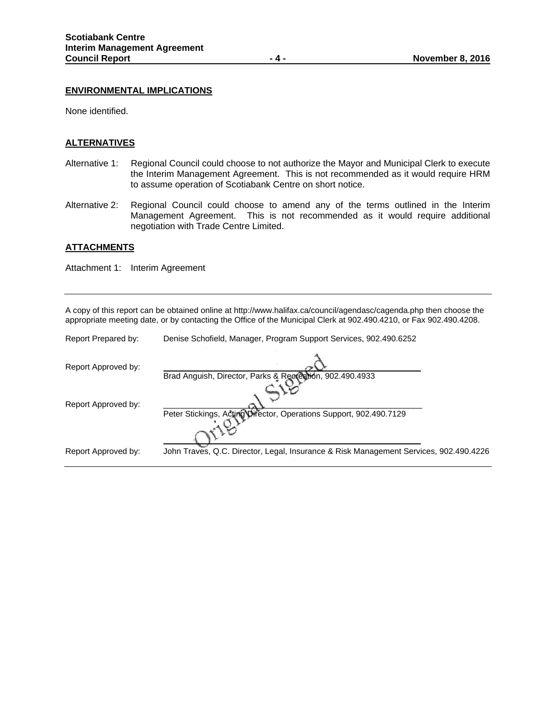#### **ENVIRONMENTAL IMPLICATIONS**

None identified.

#### **ALTERNATIVES**

- Alternative 1: Regional Council could choose to not authorize the Mayor and Municipal Clerk to execute the Interim Management Agreement. This is not recommended as it would require HRM to assume operation of Scotiabank Centre on short notice.
- Alternative 2: Regional Council could choose to amend any of the terms outlined in the Interim Management Agreement. This is not recommended as it would require additional negotiation with Trade Centre Limited.

#### **ATTACHMENTS**

Attachment 1: Interim Agreement

A copy of this report can be obtained online at http://www.halifax.ca/council/agendasc/cagenda.php then choose the appropriate meeting date, or by contacting the Office of the Municipal Clerk at 902.490.4210, or Fax 902.490.4208.

| Report Prepared by: | Denise Schofield, Manager, Program Support Services, 902.490.6252                     |
|---------------------|---------------------------------------------------------------------------------------|
| Report Approved by: | Brad Anguish, Director, Parks & Recreation, 902.490.4933                              |
| Report Approved by: | Peter Stickings, Acting Director, Operations Support, 902.490.7129                    |
| Report Approved by: | John Traves, Q.C. Director, Legal, Insurance & Risk Management Services, 902.490.4226 |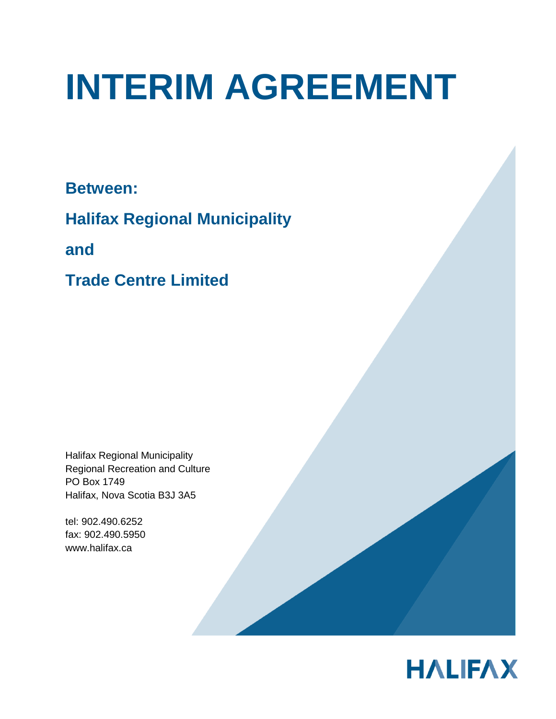# **INTERIM AGREEMENT**

**Between:**

**Halifax Regional Municipality**

**and**

**Trade Centre Limited**

Halifax Regional Municipality Regional Recreation and Culture PO Box 1749 Halifax, Nova Scotia B3J 3A5

tel: 902.490.6252 fax: 902.490.5950 [www.halifax.ca](http://www.halifax.ca/)

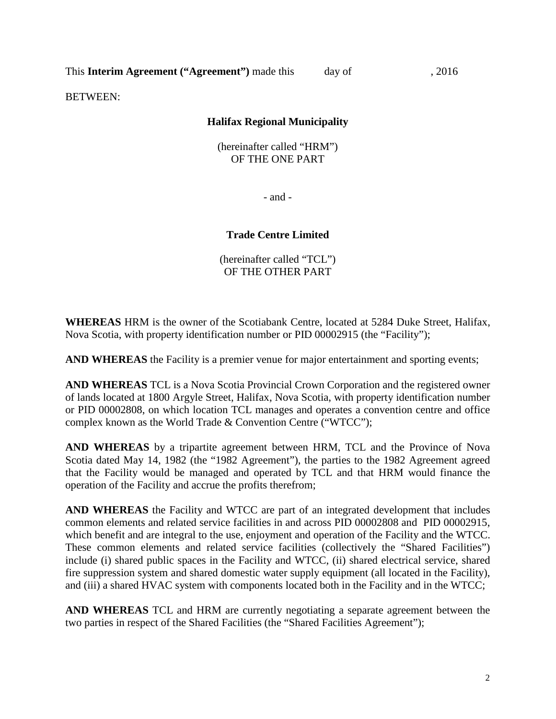This **Interim Agreement ("Agreement")** made this day of , 2016

BETWEEN:

## **Halifax Regional Municipality**

(hereinafter called "HRM") OF THE ONE PART

- and -

## **Trade Centre Limited**

(hereinafter called "TCL") OF THE OTHER PART

**WHEREAS** HRM is the owner of the Scotiabank Centre, located at 5284 Duke Street, Halifax, Nova Scotia, with property identification number or PID 00002915 (the "Facility");

**AND WHEREAS** the Facility is a premier venue for major entertainment and sporting events;

**AND WHEREAS** TCL is a Nova Scotia Provincial Crown Corporation and the registered owner of lands located at 1800 Argyle Street, Halifax, Nova Scotia, with property identification number or PID 00002808, on which location TCL manages and operates a convention centre and office complex known as the World Trade & Convention Centre ("WTCC");

**AND WHEREAS** by a tripartite agreement between HRM, TCL and the Province of Nova Scotia dated May 14, 1982 (the "1982 Agreement"), the parties to the 1982 Agreement agreed that the Facility would be managed and operated by TCL and that HRM would finance the operation of the Facility and accrue the profits therefrom;

**AND WHEREAS** the Facility and WTCC are part of an integrated development that includes common elements and related service facilities in and across PID 00002808 and PID 00002915, which benefit and are integral to the use, enjoyment and operation of the Facility and the WTCC. These common elements and related service facilities (collectively the "Shared Facilities") include (i) shared public spaces in the Facility and WTCC, (ii) shared electrical service, shared fire suppression system and shared domestic water supply equipment (all located in the Facility), and (iii) a shared HVAC system with components located both in the Facility and in the WTCC;

**AND WHEREAS** TCL and HRM are currently negotiating a separate agreement between the two parties in respect of the Shared Facilities (the "Shared Facilities Agreement");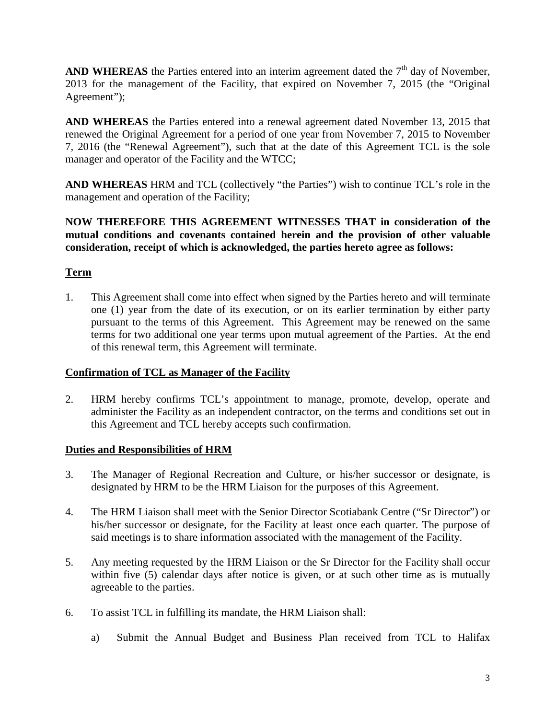**AND WHEREAS** the Parties entered into an interim agreement dated the  $7<sup>th</sup>$  day of November, 2013 for the management of the Facility, that expired on November 7, 2015 (the "Original Agreement");

**AND WHEREAS** the Parties entered into a renewal agreement dated November 13, 2015 that renewed the Original Agreement for a period of one year from November 7, 2015 to November 7, 2016 (the "Renewal Agreement"), such that at the date of this Agreement TCL is the sole manager and operator of the Facility and the WTCC;

**AND WHEREAS** HRM and TCL (collectively "the Parties") wish to continue TCL's role in the management and operation of the Facility;

**NOW THEREFORE THIS AGREEMENT WITNESSES THAT in consideration of the mutual conditions and covenants contained herein and the provision of other valuable consideration, receipt of which is acknowledged, the parties hereto agree as follows:**

# **Term**

1. This Agreement shall come into effect when signed by the Parties hereto and will terminate one (1) year from the date of its execution, or on its earlier termination by either party pursuant to the terms of this Agreement. This Agreement may be renewed on the same terms for two additional one year terms upon mutual agreement of the Parties. At the end of this renewal term, this Agreement will terminate.

## **Confirmation of TCL as Manager of the Facility**

2. HRM hereby confirms TCL's appointment to manage, promote, develop, operate and administer the Facility as an independent contractor, on the terms and conditions set out in this Agreement and TCL hereby accepts such confirmation.

## **Duties and Responsibilities of HRM**

- 3. The Manager of Regional Recreation and Culture, or his/her successor or designate, is designated by HRM to be the HRM Liaison for the purposes of this Agreement.
- 4. The HRM Liaison shall meet with the Senior Director Scotiabank Centre ("Sr Director") or his/her successor or designate, for the Facility at least once each quarter. The purpose of said meetings is to share information associated with the management of the Facility.
- 5. Any meeting requested by the HRM Liaison or the Sr Director for the Facility shall occur within five (5) calendar days after notice is given, or at such other time as is mutually agreeable to the parties.
- 6. To assist TCL in fulfilling its mandate, the HRM Liaison shall:
	- a) Submit the Annual Budget and Business Plan received from TCL to Halifax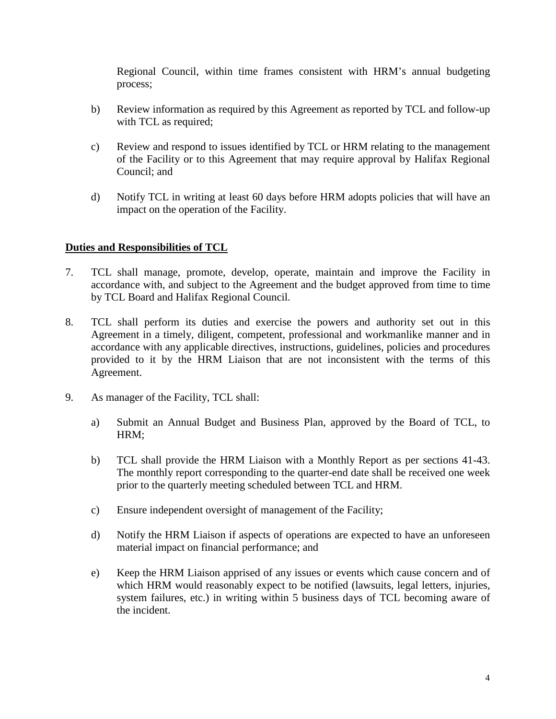Regional Council, within time frames consistent with HRM's annual budgeting process;

- b) Review information as required by this Agreement as reported by TCL and follow-up with TCL as required;
- c) Review and respond to issues identified by TCL or HRM relating to the management of the Facility or to this Agreement that may require approval by Halifax Regional Council; and
- d) Notify TCL in writing at least 60 days before HRM adopts policies that will have an impact on the operation of the Facility.

# **Duties and Responsibilities of TCL**

- 7. TCL shall manage, promote, develop, operate, maintain and improve the Facility in accordance with, and subject to the Agreement and the budget approved from time to time by TCL Board and Halifax Regional Council.
- 8. TCL shall perform its duties and exercise the powers and authority set out in this Agreement in a timely, diligent, competent, professional and workmanlike manner and in accordance with any applicable directives, instructions, guidelines, policies and procedures provided to it by the HRM Liaison that are not inconsistent with the terms of this Agreement.
- 9. As manager of the Facility, TCL shall:
	- a) Submit an Annual Budget and Business Plan, approved by the Board of TCL, to HRM;
	- b) TCL shall provide the HRM Liaison with a Monthly Report as per sections 41-43. The monthly report corresponding to the quarter-end date shall be received one week prior to the quarterly meeting scheduled between TCL and HRM.
	- c) Ensure independent oversight of management of the Facility;
	- d) Notify the HRM Liaison if aspects of operations are expected to have an unforeseen material impact on financial performance; and
	- e) Keep the HRM Liaison apprised of any issues or events which cause concern and of which HRM would reasonably expect to be notified (lawsuits, legal letters, injuries, system failures, etc.) in writing within 5 business days of TCL becoming aware of the incident.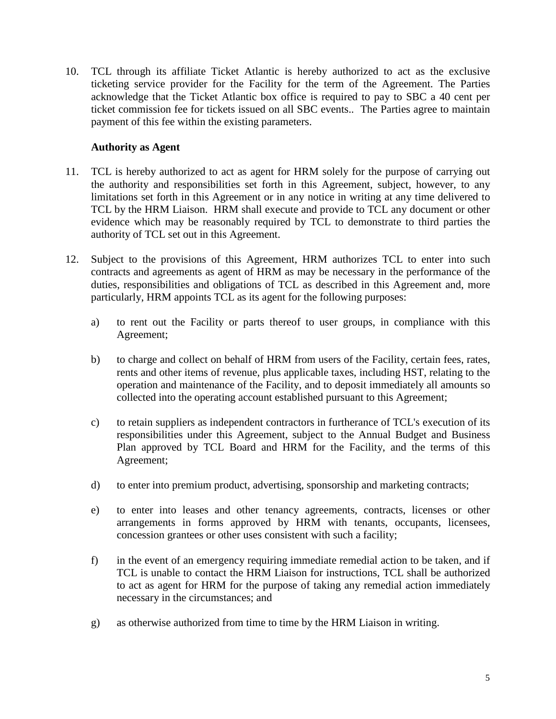10. TCL through its affiliate Ticket Atlantic is hereby authorized to act as the exclusive ticketing service provider for the Facility for the term of the Agreement. The Parties acknowledge that the Ticket Atlantic box office is required to pay to SBC a 40 cent per ticket commission fee for tickets issued on all SBC events.. The Parties agree to maintain payment of this fee within the existing parameters.

## **Authority as Agent**

- 11. TCL is hereby authorized to act as agent for HRM solely for the purpose of carrying out the authority and responsibilities set forth in this Agreement, subject, however, to any limitations set forth in this Agreement or in any notice in writing at any time delivered to TCL by the HRM Liaison. HRM shall execute and provide to TCL any document or other evidence which may be reasonably required by TCL to demonstrate to third parties the authority of TCL set out in this Agreement.
- 12. Subject to the provisions of this Agreement, HRM authorizes TCL to enter into such contracts and agreements as agent of HRM as may be necessary in the performance of the duties, responsibilities and obligations of TCL as described in this Agreement and, more particularly, HRM appoints TCL as its agent for the following purposes:
	- a) to rent out the Facility or parts thereof to user groups, in compliance with this Agreement;
	- b) to charge and collect on behalf of HRM from users of the Facility, certain fees, rates, rents and other items of revenue, plus applicable taxes, including HST, relating to the operation and maintenance of the Facility, and to deposit immediately all amounts so collected into the operating account established pursuant to this Agreement;
	- c) to retain suppliers as independent contractors in furtherance of TCL's execution of its responsibilities under this Agreement, subject to the Annual Budget and Business Plan approved by TCL Board and HRM for the Facility, and the terms of this Agreement;
	- d) to enter into premium product, advertising, sponsorship and marketing contracts;
	- e) to enter into leases and other tenancy agreements, contracts, licenses or other arrangements in forms approved by HRM with tenants, occupants, licensees, concession grantees or other uses consistent with such a facility;
	- f) in the event of an emergency requiring immediate remedial action to be taken, and if TCL is unable to contact the HRM Liaison for instructions, TCL shall be authorized to act as agent for HRM for the purpose of taking any remedial action immediately necessary in the circumstances; and
	- g) as otherwise authorized from time to time by the HRM Liaison in writing.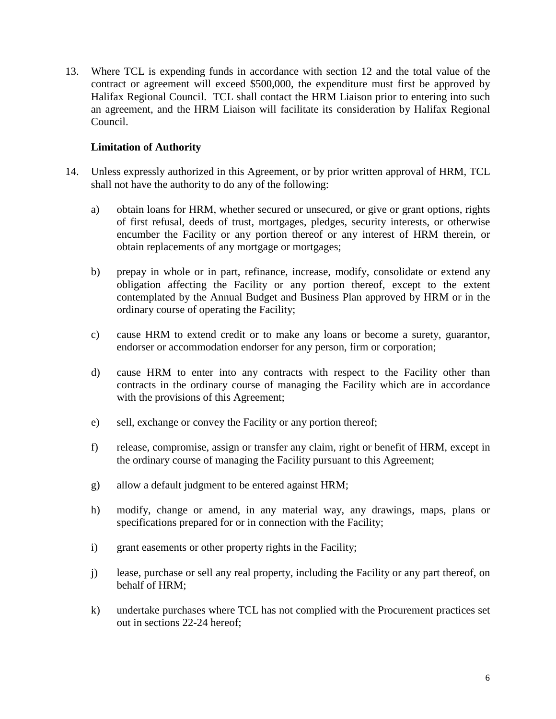13. Where TCL is expending funds in accordance with section 12 and the total value of the contract or agreement will exceed \$500,000, the expenditure must first be approved by Halifax Regional Council. TCL shall contact the HRM Liaison prior to entering into such an agreement, and the HRM Liaison will facilitate its consideration by Halifax Regional Council.

## **Limitation of Authority**

- 14. Unless expressly authorized in this Agreement, or by prior written approval of HRM, TCL shall not have the authority to do any of the following:
	- a) obtain loans for HRM, whether secured or unsecured, or give or grant options, rights of first refusal, deeds of trust, mortgages, pledges, security interests, or otherwise encumber the Facility or any portion thereof or any interest of HRM therein, or obtain replacements of any mortgage or mortgages;
	- b) prepay in whole or in part, refinance, increase, modify, consolidate or extend any obligation affecting the Facility or any portion thereof, except to the extent contemplated by the Annual Budget and Business Plan approved by HRM or in the ordinary course of operating the Facility;
	- c) cause HRM to extend credit or to make any loans or become a surety, guarantor, endorser or accommodation endorser for any person, firm or corporation;
	- d) cause HRM to enter into any contracts with respect to the Facility other than contracts in the ordinary course of managing the Facility which are in accordance with the provisions of this Agreement;
	- e) sell, exchange or convey the Facility or any portion thereof;
	- f) release, compromise, assign or transfer any claim, right or benefit of HRM, except in the ordinary course of managing the Facility pursuant to this Agreement;
	- g) allow a default judgment to be entered against HRM;
	- h) modify, change or amend, in any material way, any drawings, maps, plans or specifications prepared for or in connection with the Facility;
	- i) grant easements or other property rights in the Facility;
	- j) lease, purchase or sell any real property, including the Facility or any part thereof, on behalf of HRM;
	- k) undertake purchases where TCL has not complied with the Procurement practices set out in sections 22-24 hereof;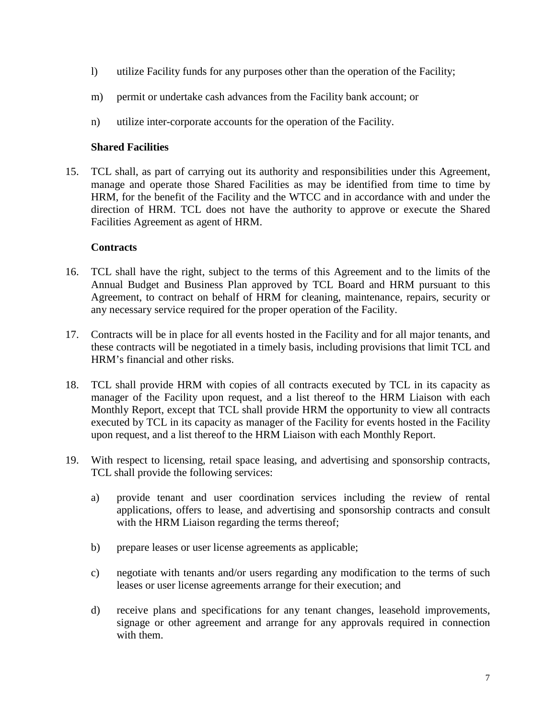- l) utilize Facility funds for any purposes other than the operation of the Facility;
- m) permit or undertake cash advances from the Facility bank account; or
- n) utilize inter-corporate accounts for the operation of the Facility.

## **Shared Facilities**

15. TCL shall, as part of carrying out its authority and responsibilities under this Agreement, manage and operate those Shared Facilities as may be identified from time to time by HRM, for the benefit of the Facility and the WTCC and in accordance with and under the direction of HRM. TCL does not have the authority to approve or execute the Shared Facilities Agreement as agent of HRM.

## **Contracts**

- 16. TCL shall have the right, subject to the terms of this Agreement and to the limits of the Annual Budget and Business Plan approved by TCL Board and HRM pursuant to this Agreement, to contract on behalf of HRM for cleaning, maintenance, repairs, security or any necessary service required for the proper operation of the Facility.
- 17. Contracts will be in place for all events hosted in the Facility and for all major tenants, and these contracts will be negotiated in a timely basis, including provisions that limit TCL and HRM's financial and other risks.
- 18. TCL shall provide HRM with copies of all contracts executed by TCL in its capacity as manager of the Facility upon request, and a list thereof to the HRM Liaison with each Monthly Report, except that TCL shall provide HRM the opportunity to view all contracts executed by TCL in its capacity as manager of the Facility for events hosted in the Facility upon request, and a list thereof to the HRM Liaison with each Monthly Report.
- 19. With respect to licensing, retail space leasing, and advertising and sponsorship contracts, TCL shall provide the following services:
	- a) provide tenant and user coordination services including the review of rental applications, offers to lease, and advertising and sponsorship contracts and consult with the HRM Liaison regarding the terms thereof;
	- b) prepare leases or user license agreements as applicable;
	- c) negotiate with tenants and/or users regarding any modification to the terms of such leases or user license agreements arrange for their execution; and
	- d) receive plans and specifications for any tenant changes, leasehold improvements, signage or other agreement and arrange for any approvals required in connection with them.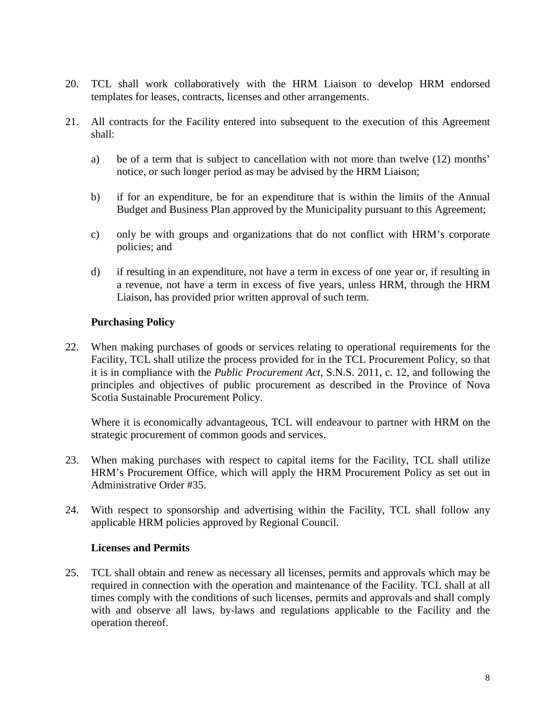- 20. TCL shall work collaboratively with the HRM Liaison to develop HRM endorsed templates for leases, contracts, licenses and other arrangements.
- 21. All contracts for the Facility entered into subsequent to the execution of this Agreement shall:
	- a) be of a term that is subject to cancellation with not more than twelve (12) months' notice, or such longer period as may be advised by the HRM Liaison;
	- b) if for an expenditure, be for an expenditure that is within the limits of the Annual Budget and Business Plan approved by the Municipality pursuant to this Agreement;
	- c) only be with groups and organizations that do not conflict with HRM's corporate policies; and
	- d) if resulting in an expenditure, not have a term in excess of one year or, if resulting in a revenue, not have a term in excess of five years, unless HRM, through the HRM Liaison, has provided prior written approval of such term.

## **Purchasing Policy**

22. When making purchases of goods or services relating to operational requirements for the Facility, TCL shall utilize the process provided for in the TCL Procurement Policy, so that it is in compliance with the *Public Procurement Act*, S.N.S. 2011, c. 12, and following the principles and objectives of public procurement as described in the Province of Nova Scotia Sustainable Procurement Policy.

Where it is economically advantageous, TCL will endeavour to partner with HRM on the strategic procurement of common goods and services.

- 23. When making purchases with respect to capital items for the Facility, TCL shall utilize HRM's Procurement Office, which will apply the HRM Procurement Policy as set out in Administrative Order #35.
- 24. With respect to sponsorship and advertising within the Facility, TCL shall follow any applicable HRM policies approved by Regional Council.

#### **Licenses and Permits**

25. TCL shall obtain and renew as necessary all licenses, permits and approvals which may be required in connection with the operation and maintenance of the Facility. TCL shall at all times comply with the conditions of such licenses, permits and approvals and shall comply with and observe all laws, by-laws and regulations applicable to the Facility and the operation thereof.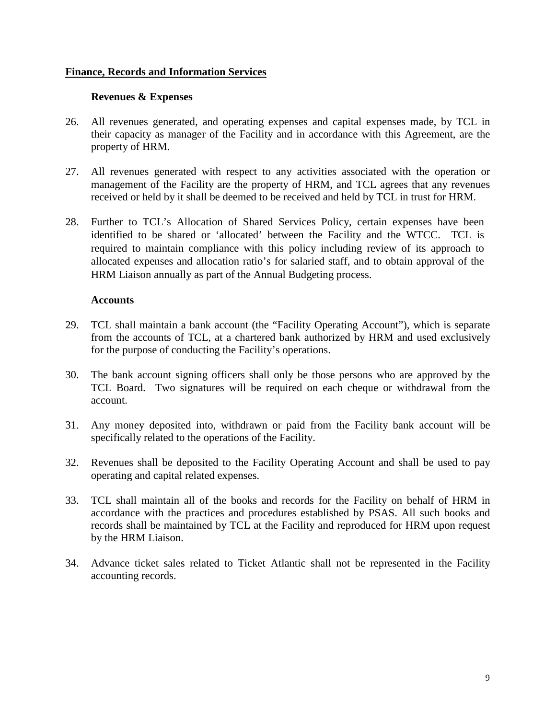#### **Finance, Records and Information Services**

#### **Revenues & Expenses**

- 26. All revenues generated, and operating expenses and capital expenses made, by TCL in their capacity as manager of the Facility and in accordance with this Agreement, are the property of HRM.
- 27. All revenues generated with respect to any activities associated with the operation or management of the Facility are the property of HRM, and TCL agrees that any revenues received or held by it shall be deemed to be received and held by TCL in trust for HRM.
- 28. Further to TCL's Allocation of Shared Services Policy, certain expenses have been identified to be shared or 'allocated' between the Facility and the WTCC. TCL is required to maintain compliance with this policy including review of its approach to allocated expenses and allocation ratio's for salaried staff, and to obtain approval of the HRM Liaison annually as part of the Annual Budgeting process.

#### **Accounts**

- 29. TCL shall maintain a bank account (the "Facility Operating Account"), which is separate from the accounts of TCL, at a chartered bank authorized by HRM and used exclusively for the purpose of conducting the Facility's operations.
- 30. The bank account signing officers shall only be those persons who are approved by the TCL Board. Two signatures will be required on each cheque or withdrawal from the account.
- 31. Any money deposited into, withdrawn or paid from the Facility bank account will be specifically related to the operations of the Facility.
- 32. Revenues shall be deposited to the Facility Operating Account and shall be used to pay operating and capital related expenses.
- 33. TCL shall maintain all of the books and records for the Facility on behalf of HRM in accordance with the practices and procedures established by PSAS. All such books and records shall be maintained by TCL at the Facility and reproduced for HRM upon request by the HRM Liaison.
- 34. Advance ticket sales related to Ticket Atlantic shall not be represented in the Facility accounting records.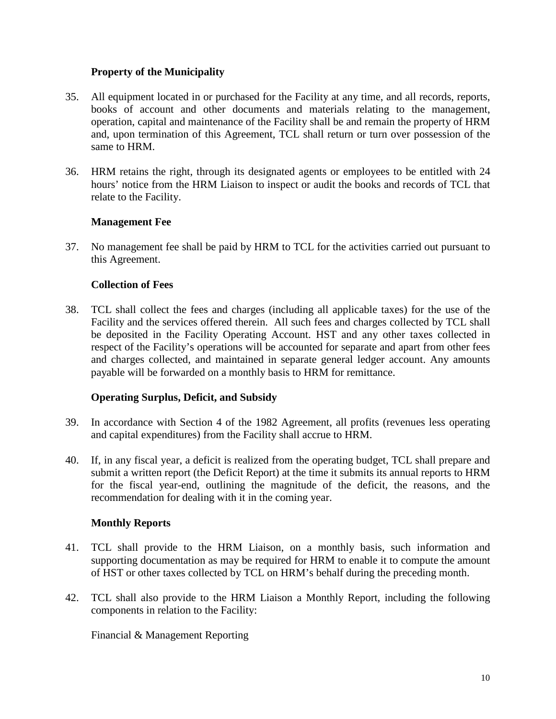## **Property of the Municipality**

- 35. All equipment located in or purchased for the Facility at any time, and all records, reports, books of account and other documents and materials relating to the management, operation, capital and maintenance of the Facility shall be and remain the property of HRM and, upon termination of this Agreement, TCL shall return or turn over possession of the same to HRM.
- 36. HRM retains the right, through its designated agents or employees to be entitled with 24 hours' notice from the HRM Liaison to inspect or audit the books and records of TCL that relate to the Facility.

## **Management Fee**

37. No management fee shall be paid by HRM to TCL for the activities carried out pursuant to this Agreement.

## **Collection of Fees**

38. TCL shall collect the fees and charges (including all applicable taxes) for the use of the Facility and the services offered therein. All such fees and charges collected by TCL shall be deposited in the Facility Operating Account. HST and any other taxes collected in respect of the Facility's operations will be accounted for separate and apart from other fees and charges collected, and maintained in separate general ledger account. Any amounts payable will be forwarded on a monthly basis to HRM for remittance.

#### **Operating Surplus, Deficit, and Subsidy**

- 39. In accordance with Section 4 of the 1982 Agreement, all profits (revenues less operating and capital expenditures) from the Facility shall accrue to HRM.
- 40. If, in any fiscal year, a deficit is realized from the operating budget, TCL shall prepare and submit a written report (the Deficit Report) at the time it submits its annual reports to HRM for the fiscal year-end, outlining the magnitude of the deficit, the reasons, and the recommendation for dealing with it in the coming year.

## **Monthly Reports**

- 41. TCL shall provide to the HRM Liaison, on a monthly basis, such information and supporting documentation as may be required for HRM to enable it to compute the amount of HST or other taxes collected by TCL on HRM's behalf during the preceding month.
- 42. TCL shall also provide to the HRM Liaison a Monthly Report, including the following components in relation to the Facility:

Financial & Management Reporting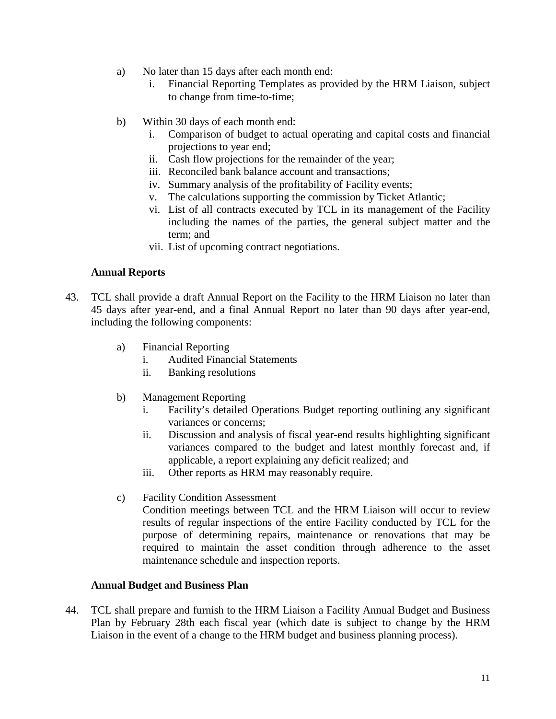- a) No later than 15 days after each month end:
	- i. Financial Reporting Templates as provided by the HRM Liaison, subject to change from time-to-time;
- b) Within 30 days of each month end:
	- i. Comparison of budget to actual operating and capital costs and financial projections to year end;
	- ii. Cash flow projections for the remainder of the year;
	- iii. Reconciled bank balance account and transactions;
	- iv. Summary analysis of the profitability of Facility events;
	- v. The calculations supporting the commission by Ticket Atlantic;
	- vi. List of all contracts executed by TCL in its management of the Facility including the names of the parties, the general subject matter and the term; and
	- vii. List of upcoming contract negotiations.

#### **Annual Reports**

- 43. TCL shall provide a draft Annual Report on the Facility to the HRM Liaison no later than 45 days after year-end, and a final Annual Report no later than 90 days after year-end, including the following components:
	- a) Financial Reporting
		- i. Audited Financial Statements
		- ii. Banking resolutions
	- b) Management Reporting
		- i. Facility's detailed Operations Budget reporting outlining any significant variances or concerns;
		- ii. Discussion and analysis of fiscal year-end results highlighting significant variances compared to the budget and latest monthly forecast and, if applicable, a report explaining any deficit realized; and
		- iii. Other reports as HRM may reasonably require.
	- c) Facility Condition Assessment

Condition meetings between TCL and the HRM Liaison will occur to review results of regular inspections of the entire Facility conducted by TCL for the purpose of determining repairs, maintenance or renovations that may be required to maintain the asset condition through adherence to the asset maintenance schedule and inspection reports.

#### **Annual Budget and Business Plan**

44. TCL shall prepare and furnish to the HRM Liaison a Facility Annual Budget and Business Plan by February 28th each fiscal year (which date is subject to change by the HRM Liaison in the event of a change to the HRM budget and business planning process).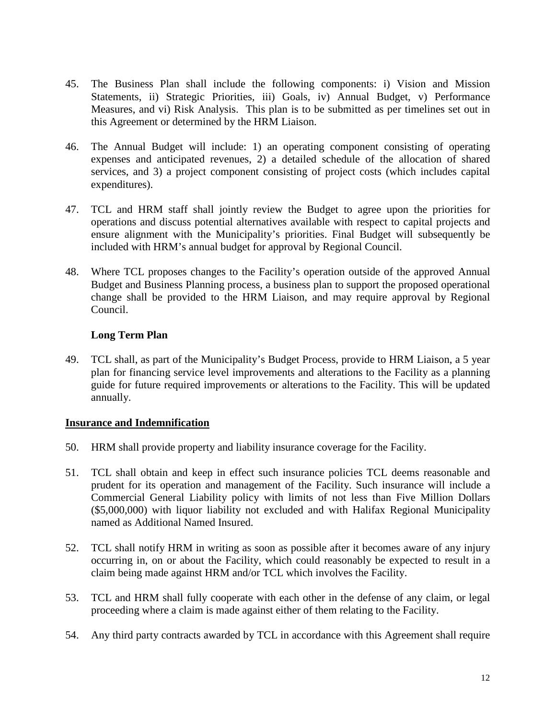- 45. The Business Plan shall include the following components: i) Vision and Mission Statements, ii) Strategic Priorities, iii) Goals, iv) Annual Budget, v) Performance Measures, and vi) Risk Analysis. This plan is to be submitted as per timelines set out in this Agreement or determined by the HRM Liaison.
- 46. The Annual Budget will include: 1) an operating component consisting of operating expenses and anticipated revenues, 2) a detailed schedule of the allocation of shared services, and 3) a project component consisting of project costs (which includes capital expenditures).
- 47. TCL and HRM staff shall jointly review the Budget to agree upon the priorities for operations and discuss potential alternatives available with respect to capital projects and ensure alignment with the Municipality's priorities. Final Budget will subsequently be included with HRM's annual budget for approval by Regional Council.
- 48. Where TCL proposes changes to the Facility's operation outside of the approved Annual Budget and Business Planning process, a business plan to support the proposed operational change shall be provided to the HRM Liaison, and may require approval by Regional Council.

## **Long Term Plan**

49. TCL shall, as part of the Municipality's Budget Process, provide to HRM Liaison, a 5 year plan for financing service level improvements and alterations to the Facility as a planning guide for future required improvements or alterations to the Facility. This will be updated annually.

#### **Insurance and Indemnification**

- 50. HRM shall provide property and liability insurance coverage for the Facility.
- 51. TCL shall obtain and keep in effect such insurance policies TCL deems reasonable and prudent for its operation and management of the Facility. Such insurance will include a Commercial General Liability policy with limits of not less than Five Million Dollars (\$5,000,000) with liquor liability not excluded and with Halifax Regional Municipality named as Additional Named Insured.
- 52. TCL shall notify HRM in writing as soon as possible after it becomes aware of any injury occurring in, on or about the Facility, which could reasonably be expected to result in a claim being made against HRM and/or TCL which involves the Facility.
- 53. TCL and HRM shall fully cooperate with each other in the defense of any claim, or legal proceeding where a claim is made against either of them relating to the Facility.
- 54. Any third party contracts awarded by TCL in accordance with this Agreement shall require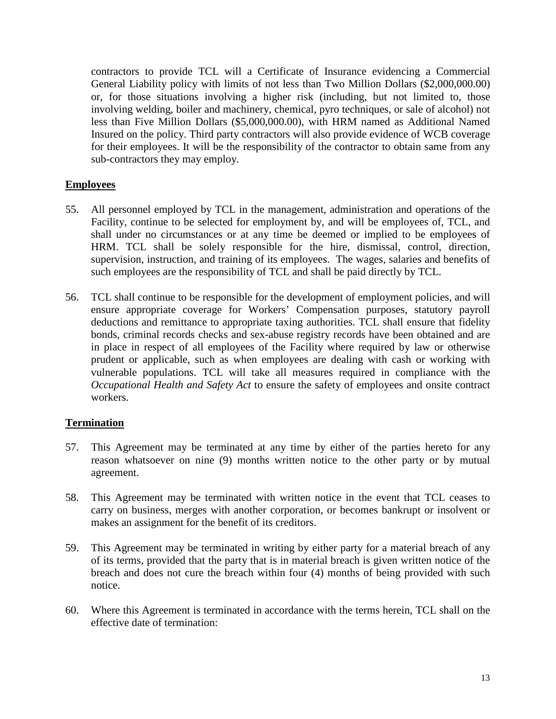contractors to provide TCL will a Certificate of Insurance evidencing a Commercial General Liability policy with limits of not less than Two Million Dollars (\$2,000,000.00) or, for those situations involving a higher risk (including, but not limited to, those involving welding, boiler and machinery, chemical, pyro techniques, or sale of alcohol) not less than Five Million Dollars (\$5,000,000.00), with HRM named as Additional Named Insured on the policy. Third party contractors will also provide evidence of WCB coverage for their employees. It will be the responsibility of the contractor to obtain same from any sub-contractors they may employ.

## **Employees**

- 55. All personnel employed by TCL in the management, administration and operations of the Facility, continue to be selected for employment by, and will be employees of, TCL, and shall under no circumstances or at any time be deemed or implied to be employees of HRM. TCL shall be solely responsible for the hire, dismissal, control, direction, supervision, instruction, and training of its employees. The wages, salaries and benefits of such employees are the responsibility of TCL and shall be paid directly by TCL.
- 56. TCL shall continue to be responsible for the development of employment policies, and will ensure appropriate coverage for Workers' Compensation purposes, statutory payroll deductions and remittance to appropriate taxing authorities. TCL shall ensure that fidelity bonds, criminal records checks and sex-abuse registry records have been obtained and are in place in respect of all employees of the Facility where required by law or otherwise prudent or applicable, such as when employees are dealing with cash or working with vulnerable populations. TCL will take all measures required in compliance with the *Occupational Health and Safety Act* to ensure the safety of employees and onsite contract workers.

#### **Termination**

- 57. This Agreement may be terminated at any time by either of the parties hereto for any reason whatsoever on nine (9) months written notice to the other party or by mutual agreement.
- 58. This Agreement may be terminated with written notice in the event that TCL ceases to carry on business, merges with another corporation, or becomes bankrupt or insolvent or makes an assignment for the benefit of its creditors.
- 59. This Agreement may be terminated in writing by either party for a material breach of any of its terms, provided that the party that is in material breach is given written notice of the breach and does not cure the breach within four (4) months of being provided with such notice.
- 60. Where this Agreement is terminated in accordance with the terms herein, TCL shall on the effective date of termination: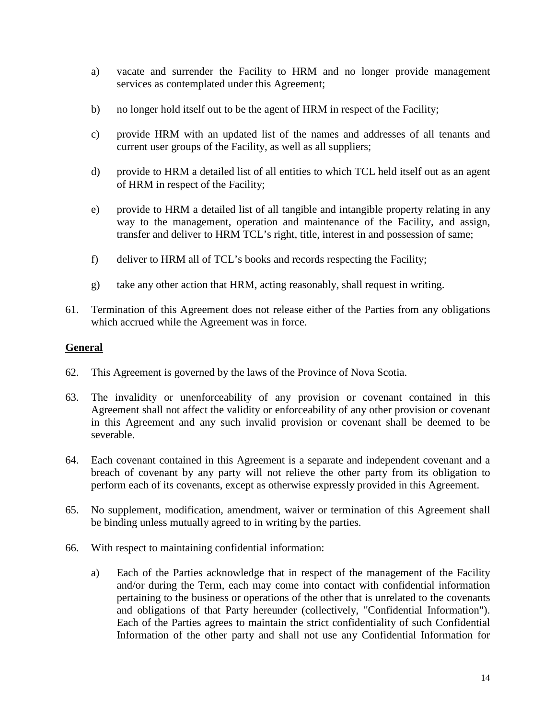- a) vacate and surrender the Facility to HRM and no longer provide management services as contemplated under this Agreement;
- b) no longer hold itself out to be the agent of HRM in respect of the Facility;
- c) provide HRM with an updated list of the names and addresses of all tenants and current user groups of the Facility, as well as all suppliers;
- d) provide to HRM a detailed list of all entities to which TCL held itself out as an agent of HRM in respect of the Facility;
- e) provide to HRM a detailed list of all tangible and intangible property relating in any way to the management, operation and maintenance of the Facility, and assign, transfer and deliver to HRM TCL's right, title, interest in and possession of same;
- f) deliver to HRM all of TCL's books and records respecting the Facility;
- g) take any other action that HRM, acting reasonably, shall request in writing.
- 61. Termination of this Agreement does not release either of the Parties from any obligations which accrued while the Agreement was in force.

## **General**

- 62. This Agreement is governed by the laws of the Province of Nova Scotia.
- 63. The invalidity or unenforceability of any provision or covenant contained in this Agreement shall not affect the validity or enforceability of any other provision or covenant in this Agreement and any such invalid provision or covenant shall be deemed to be severable.
- 64. Each covenant contained in this Agreement is a separate and independent covenant and a breach of covenant by any party will not relieve the other party from its obligation to perform each of its covenants, except as otherwise expressly provided in this Agreement.
- 65. No supplement, modification, amendment, waiver or termination of this Agreement shall be binding unless mutually agreed to in writing by the parties.
- 66. With respect to maintaining confidential information:
	- a) Each of the Parties acknowledge that in respect of the management of the Facility and/or during the Term, each may come into contact with confidential information pertaining to the business or operations of the other that is unrelated to the covenants and obligations of that Party hereunder (collectively, "Confidential Information"). Each of the Parties agrees to maintain the strict confidentiality of such Confidential Information of the other party and shall not use any Confidential Information for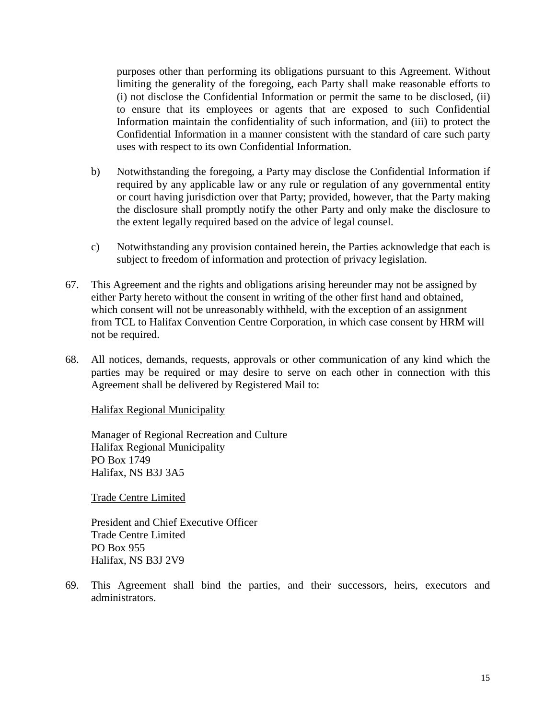purposes other than performing its obligations pursuant to this Agreement. Without limiting the generality of the foregoing, each Party shall make reasonable efforts to (i) not disclose the Confidential Information or permit the same to be disclosed, (ii) to ensure that its employees or agents that are exposed to such Confidential Information maintain the confidentiality of such information, and (iii) to protect the Confidential Information in a manner consistent with the standard of care such party uses with respect to its own Confidential Information.

- b) Notwithstanding the foregoing, a Party may disclose the Confidential Information if required by any applicable law or any rule or regulation of any governmental entity or court having jurisdiction over that Party; provided, however, that the Party making the disclosure shall promptly notify the other Party and only make the disclosure to the extent legally required based on the advice of legal counsel.
- c) Notwithstanding any provision contained herein, the Parties acknowledge that each is subject to freedom of information and protection of privacy legislation.
- 67. This Agreement and the rights and obligations arising hereunder may not be assigned by either Party hereto without the consent in writing of the other first hand and obtained, which consent will not be unreasonably withheld, with the exception of an assignment from TCL to Halifax Convention Centre Corporation, in which case consent by HRM will not be required.
- 68. All notices, demands, requests, approvals or other communication of any kind which the parties may be required or may desire to serve on each other in connection with this Agreement shall be delivered by Registered Mail to:

Halifax Regional Municipality

Manager of Regional Recreation and Culture Halifax Regional Municipality PO Box 1749 Halifax, NS B3J 3A5

Trade Centre Limited

President and Chief Executive Officer Trade Centre Limited PO Box 955 Halifax, NS B3J 2V9

69. This Agreement shall bind the parties, and their successors, heirs, executors and administrators.